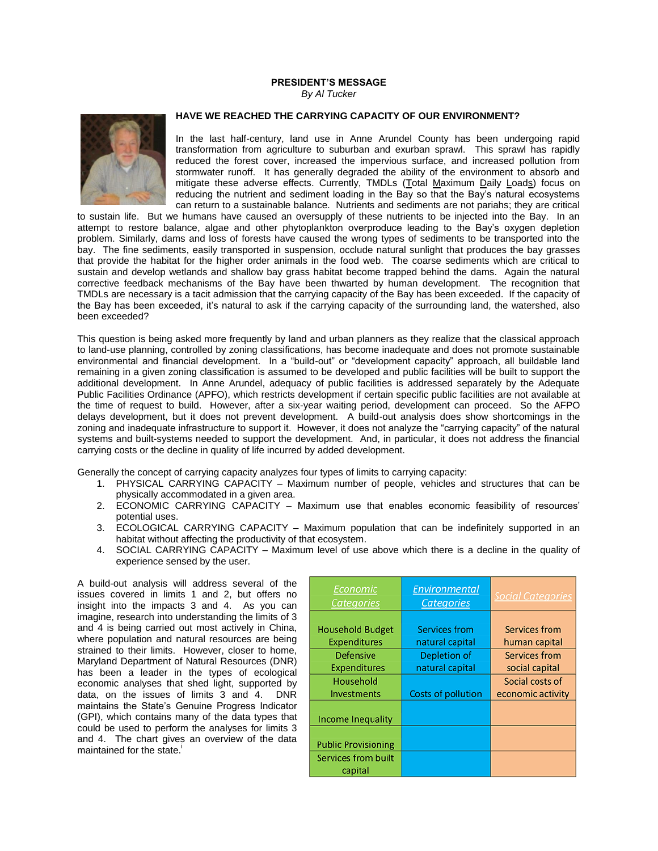## **PRESIDENT'S MESSAGE** *By Al Tucker*



## **HAVE WE REACHED THE CARRYING CAPACITY OF OUR ENVIRONMENT?**

In the last half-century, land use in Anne Arundel County has been undergoing rapid transformation from agriculture to suburban and exurban sprawl. This sprawl has rapidly reduced the forest cover, increased the impervious surface, and increased pollution from stormwater runoff. It has generally degraded the ability of the environment to absorb and mitigate these adverse effects. Currently, TMDLs (Total Maximum Daily Loads) focus on reducing the nutrient and sediment loading in the Bay so that the Bay's natural ecosystems can return to a sustainable balance. Nutrients and sediments are not pariahs; they are critical

to sustain life. But we humans have caused an oversupply of these nutrients to be injected into the Bay. In an attempt to restore balance, algae and other phytoplankton overproduce leading to the Bay's oxygen depletion problem. Similarly, dams and loss of forests have caused the wrong types of sediments to be transported into the bay. The fine sediments, easily transported in suspension, occlude natural sunlight that produces the bay grasses that provide the habitat for the higher order animals in the food web. The coarse sediments which are critical to sustain and develop wetlands and shallow bay grass habitat become trapped behind the dams. Again the natural corrective feedback mechanisms of the Bay have been thwarted by human development. The recognition that TMDLs are necessary is a tacit admission that the carrying capacity of the Bay has been exceeded. If the capacity of the Bay has been exceeded, it's natural to ask if the carrying capacity of the surrounding land, the watershed, also been exceeded?

This question is being asked more frequently by land and urban planners as they realize that the classical approach to land-use planning, controlled by zoning classifications, has become inadequate and does not promote sustainable environmental and financial development. In a "build-out" or "development capacity" approach, all buildable land remaining in a given zoning classification is assumed to be developed and public facilities will be built to support the additional development. In Anne Arundel, adequacy of public facilities is addressed separately by the Adequate Public Facilities Ordinance (APFO), which restricts development if certain specific public facilities are not available at the time of request to build. However, after a six-year waiting period, development can proceed. So the AFPO delays development, but it does not prevent development. A build-out analysis does show shortcomings in the zoning and inadequate infrastructure to support it. However, it does not analyze the "carrying capacity" of the natural systems and built-systems needed to support the development. And, in particular, it does not address the financial carrying costs or the decline in quality of life incurred by added development.

Generally the concept of carrying capacity analyzes four types of limits to carrying capacity:

- 1. PHYSICAL CARRYING CAPACITY Maximum number of people, vehicles and structures that can be physically accommodated in a given area.
- 2. ECONOMIC CARRYING CAPACITY Maximum use that enables economic feasibility of resources' potential uses.
- 3. ECOLOGICAL CARRYING CAPACITY Maximum population that can be indefinitely supported in an habitat without affecting the productivity of that ecosystem.
- 4. SOCIAL CARRYING CAPACITY Maximum level of use above which there is a decline in the quality of experience sensed by the user.

A build-out analysis will address several of the issues covered in limits 1 and 2, but offers no insight into the impacts 3 and 4. As you can imagine, research into understanding the limits of 3 and 4 is being carried out most actively in China, where population and natural resources are being strained to their limits. However, closer to home, Maryland Department of Natural Resources (DNR) has been a leader in the types of ecological economic analyses that shed light, supported by data, on the issues of limits 3 and 4. DNR maintains the State's Genuine Progress Indicator (GPI), which contains many of the data types that could be used to perform the analyses for limits 3 and 4. The chart gives an overview of the data maintained for the state.<sup>1</sup>

| Economic<br><b>Categories</b>                                      | Environmental<br><b>Categories</b>                      | <b>Social Categories</b>                        |
|--------------------------------------------------------------------|---------------------------------------------------------|-------------------------------------------------|
| <b>Household Budget</b><br><b>Expenditures</b><br><b>Defensive</b> | <b>Services from</b><br>natural capital<br>Depletion of | Services from<br>human capital<br>Services from |
| <b>Expenditures</b>                                                | natural capital                                         | social capital                                  |
| Household<br>Investments                                           | <b>Costs of pollution</b>                               | Social costs of<br>economic activity            |
| <b>Income Inequality</b>                                           |                                                         |                                                 |
| <b>Public Provisioning</b>                                         |                                                         |                                                 |
| Services from built<br>capital                                     |                                                         |                                                 |